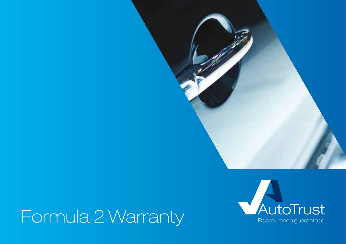

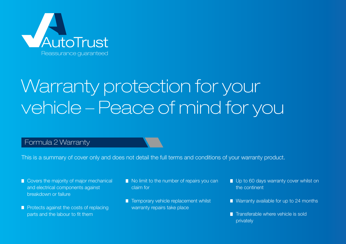

# Warranty protection for your vehicle – Peace of mind for you

### Formula 2 Warranty

This is a summary of cover only and does not detail the full terms and conditions of your warranty product.

- Covers the majority of major mechanical and electrical components against breakdown or failure
- **Protects against the costs of replacing** parts and the labour to fit them
- No limit to the number of repairs you can claim for
- **T** Temporary vehicle replacement whilst warranty repairs take place
- Up to 60 days warranty cover whilst on the continent
- Warranty available for up to 24 months
- $\blacksquare$  Transferable where vehicle is sold privately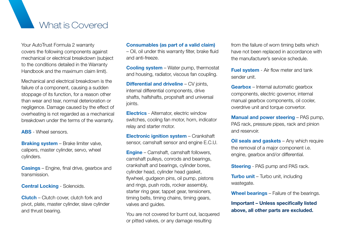### What is Covered

Your AutoTrust Formula 2 warranty covers the following components against mechanical or electrical breakdown (subject to the conditions detailed in the Warranty Handbook and the maximum claim limit).

Mechanical and electrical breakdown is the failure of a component, causing a sudden stoppage of its function, for a reason other than wear and tear, normal deterioration or negligence. Damage caused by the effect of overheating is not regarded as a mechanical breakdown under the terms of the warranty.

**ABS** - Wheel sensors.

**Braking system** – Brake limiter valve, calipers, master cylinder, servo, wheel cylinders.

**Casings** – Engine, final drive, gearbox and transmission.

**Central Locking** - Solenoids.

**Clutch** – Clutch cover, clutch fork and pivot, plate, master cylinder, slave cylinder and thrust bearing.

#### **Consumables (as part of a valid claim)**

– Oil, oil under this warranty filter, brake fluid and anti-freeze.

**Cooling system** – Water pump, thermostat and housing, radiator, viscous fan coupling.

**Differential and driveline** – CV joints, internal differential components, drive shafts, halfshafts, propshaft and universal joints.

**Electrics** - Alternator, electric window switches, cooling fan motor, horn, indicator relay and starter motor.

**Electronic ignition system** – Crankshaft sensor, camshaft sensor and engine E.C.U.

**Engine** – Camshaft, camshaft followers, camshaft pulleys, conrods and bearings, crankshaft and bearings, cylinder bores, cylinder head, cylinder head gasket, flywheel, gudgeon pins, oil pump, pistons and rings, push rods, rocker assembly, starter ring gear, tappet gear, tensioners, timing belts, timing chains, timing gears, valves and guides.

You are not covered for burnt out, lacquered or pitted valves, or any damage resulting

from the failure of worn timing belts which have not been replaced in accordance with the manufacturer's service schedule.

**Fuel system** - Air flow meter and tank sender unit.

**Gearbox** – Internal automatic gearbox components, electric governor, internal manual gearbox components, oil cooler, overdrive unit and torque convertor.

**Manual and power steering** – PAS pump, PAS rack, pressure pipes, rack and pinion and reservoir.

**Oil seals and gaskets** – Any which require the removal of a major component i.e. engine, gearbox and/or differential.

**Steering** - PAS pump and PAS rack.

**Turbo unit** – Turbo unit, including wastegate.

**Wheel bearings** – Failure of the bearings.

**Important – Unless specifically listed above, all other parts are excluded.**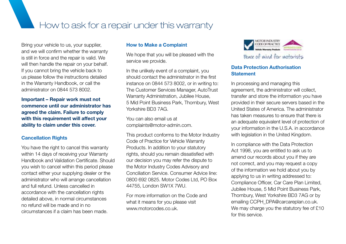How to ask for a repair under this warranty

Bring your vehicle to us, your supplier, and we will confirm whether the warranty is still in force and the repair is valid. We will then handle the repair on your behalf. If you cannot bring the vehicle back to us please follow the instructions detailed in the Warranty Handbook, or call the administrator on 0844 573 8002.

**Important – Repair work must not commence until our administrator has agreed the claim. Failure to comply with this requirement will affect your ability to claim under this cover.**

#### **Cancellation Rights**

You have the right to cancel this warranty within 14 days of receiving your Warranty Handbook and Validation Certificate. Should you wish to cancel within this period please contact either your supplying dealer or the administrator who will arrange cancellation and full refund. Unless cancelled in accordance with the cancellation rights detailed above, in normal circumstances no refund will be made and in no circumstances if a claim has been made.

#### **How to Make a Complaint**

We hope that you will be pleased with the service we provide.

In the unlikely event of a complaint, you should contact the administrator in the first instance on 0844 573 8002, or in writing to: The Customer Services Manager, AutoTrust Warranty Administration, Jubilee House, 5 Mid Point Business Park, Thornbury, West Yorkshire BD3 7AG.

You can also email us at complaints@motor-admin.com.

This product conforms to the Motor Industry Code of Practice for Vehicle Warranty Products. In addition to your statutory rights, should you remain dissatisfied with our decision you may refer the dispute to the Motor Industry Codes Advisory and Conciliation Service. Consumer Advice line: 0800 692 0825. Motor Codes Ltd, PO Box 44755, London SW1X 7WU.

For more information on the Code and what it means for you please visit www.motorcodes.co.uk.



#### **Data Protection Authorisation Statement**

In processing and managing this agreement, the administrator will collect, transfer and store the information you have provided in their secure servers based in the United States of America. The administrator has taken measures to ensure that there is an adequate equivalent level of protection of your information in the U.S.A. in accordance with legislation in the United Kingdom.

In compliance with the Data Protection Act 1998, you are entitled to ask us to amend our records about you if they are not correct, and you may request a copy of the information we hold about you by applying to us in writing addressed to: Compliance Officer, Car Care Plan Limited, Jubilee House, 5 Mid Point Business Park, Thornbury, West Yorkshire BD3 7AG or by emailing CCPH\_DPA@carcareplan.co.uk. We may charge you the statutory fee of £10 for this service.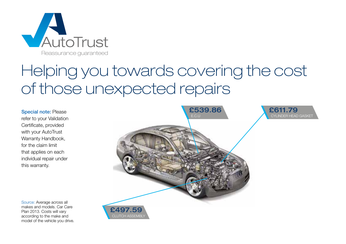

## Helping you towards covering the cost of those unexpected repairs

Special note: Please refer to your Validation Certificate, provided with your AutoTrust Warranty Handbook, for the claim limit that applies on each individual repair under this warranty.



Source: Average across all makes and models. Car Care Plan 2013. Costs will vary according to the make and model of the vehicle you drive.